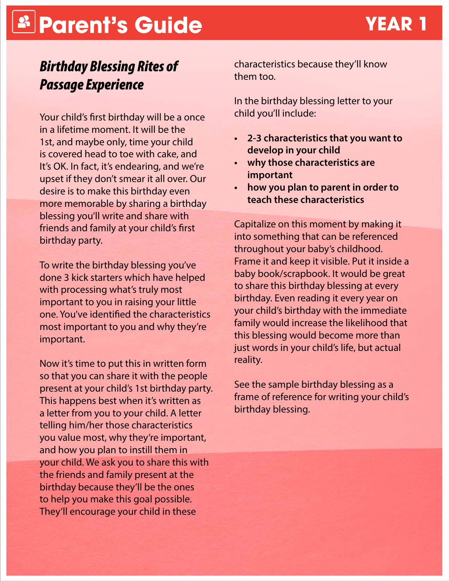# **Parent's Guide YEAR 1**

### *Birthday Blessing Rites of Passage Experience*

Your child's first birthday will be a once in a lifetime moment. It will be the 1st, and maybe only, time your child is covered head to toe with cake, and It's OK. In fact, it's endearing, and we're upset if they don't smear it all over. Our desire is to make this birthday even more memorable by sharing a birthday blessing you'll write and share with friends and family at your child's first birthday party.

To write the birthday blessing you've done 3 kick starters which have helped with processing what's truly most important to you in raising your little one. You've identified the characteristics most important to you and why they're important.

Now it's time to put this in written form so that you can share it with the people present at your child's 1st birthday party. This happens best when it's written as a letter from you to your child. A letter telling him/her those characteristics you value most, why they're important, and how you plan to instill them in your child. We ask you to share this with the friends and family present at the birthday because they'll be the ones to help you make this goal possible. They'll encourage your child in these

characteristics because they'll know them too.

In the birthday blessing letter to your child you'll include:

- **• 2-3 characteristics that you want to develop in your child**
- **• why those characteristics are important**
- **• how you plan to parent in order to teach these characteristics**

Capitalize on this moment by making it into something that can be referenced throughout your baby's childhood. Frame it and keep it visible. Put it inside a baby book/scrapbook. It would be great to share this birthday blessing at every birthday. Even reading it every year on your child's birthday with the immediate family would increase the likelihood that this blessing would become more than just words in your child's life, but actual reality.

See the sample birthday blessing as a frame of reference for writing your child's birthday blessing.